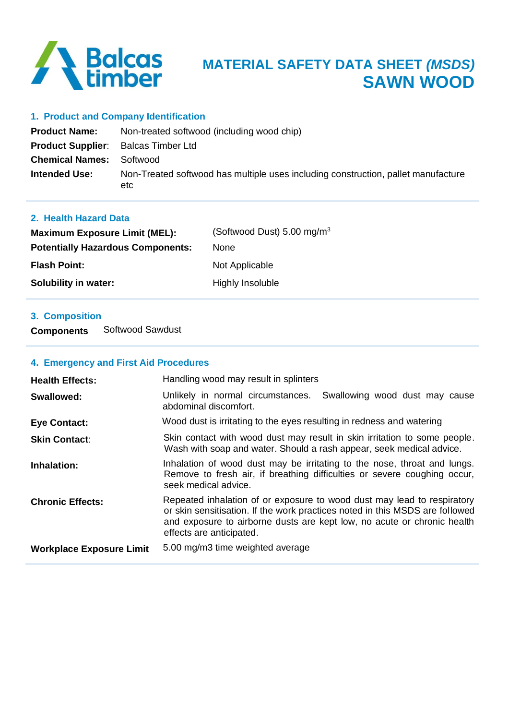

#### **1. Product and Company Identification**

| <b>Product Name:</b>                       | Non-treated softwood (including wood chip)                                               |
|--------------------------------------------|------------------------------------------------------------------------------------------|
| <b>Product Supplier:</b> Balcas Timber Ltd |                                                                                          |
| <b>Chemical Names: Softwood</b>            |                                                                                          |
| <b>Intended Use:</b>                       | Non-Treated softwood has multiple uses including construction, pallet manufacture<br>etc |

### **2. Health Hazard Data**

| <b>Maximum Exposure Limit (MEL):</b>     | (Softwood Dust) 5.00 mg/m <sup>3</sup> |
|------------------------------------------|----------------------------------------|
| <b>Potentially Hazardous Components:</b> | <b>None</b>                            |
| <b>Flash Point:</b>                      | Not Applicable                         |
| Solubility in water:                     | Highly Insoluble                       |

## **3. Composition**

**Components** Softwood Sawdust

### **4. Emergency and First Aid Procedures**

| <b>Health Effects:</b>          | Handling wood may result in splinters                                                                                                                                                                                                                          |  |
|---------------------------------|----------------------------------------------------------------------------------------------------------------------------------------------------------------------------------------------------------------------------------------------------------------|--|
| Swallowed:                      | Unlikely in normal circumstances.<br>Swallowing wood dust may cause<br>abdominal discomfort.                                                                                                                                                                   |  |
| <b>Eye Contact:</b>             | Wood dust is irritating to the eyes resulting in redness and watering                                                                                                                                                                                          |  |
| <b>Skin Contact:</b>            | Skin contact with wood dust may result in skin irritation to some people.<br>Wash with soap and water. Should a rash appear, seek medical advice.                                                                                                              |  |
| Inhalation:                     | Inhalation of wood dust may be irritating to the nose, throat and lungs.<br>Remove to fresh air, if breathing difficulties or severe coughing occur,<br>seek medical advice.                                                                                   |  |
| <b>Chronic Effects:</b>         | Repeated inhalation of or exposure to wood dust may lead to respiratory<br>or skin sensitisation. If the work practices noted in this MSDS are followed<br>and exposure to airborne dusts are kept low, no acute or chronic health<br>effects are anticipated. |  |
| <b>Workplace Exposure Limit</b> | 5.00 mg/m3 time weighted average                                                                                                                                                                                                                               |  |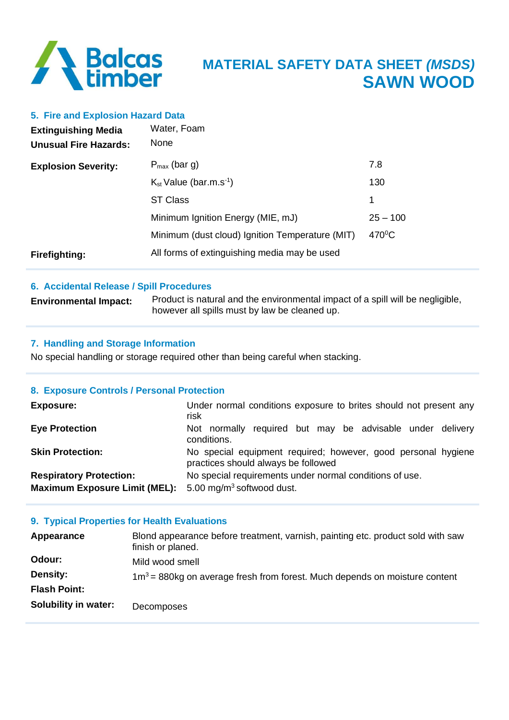

#### **5. Fire and Explosion Hazard Data**

| <b>Extinguishing Media</b><br><b>Unusual Fire Hazards:</b> | Water, Foam<br>None                             |                 |
|------------------------------------------------------------|-------------------------------------------------|-----------------|
| <b>Explosion Severity:</b>                                 | $P_{max}$ (bar g)                               | 7.8             |
|                                                            | $K_{st}$ Value (bar.m.s <sup>-1</sup> )         | 130             |
|                                                            | <b>ST Class</b>                                 | 1               |
|                                                            | Minimum Ignition Energy (MIE, mJ)               | $25 - 100$      |
|                                                            | Minimum (dust cloud) Ignition Temperature (MIT) | $470^{\circ}$ C |
| <b>Firefighting:</b>                                       | All forms of extinguishing media may be used    |                 |

#### **6. Accidental Release / Spill Procedures**

| <b>Environmental Impact:</b> | Product is natural and the environmental impact of a spill will be negligible, |
|------------------------------|--------------------------------------------------------------------------------|
|                              | however all spills must by law be cleaned up.                                  |

#### **7. Handling and Storage Information**

No special handling or storage required other than being careful when stacking.

### **8. Exposure Controls / Personal Protection**

| <b>Exposure:</b>                                                       | Under normal conditions exposure to brites should not present any<br>risk                            |  |
|------------------------------------------------------------------------|------------------------------------------------------------------------------------------------------|--|
| <b>Eye Protection</b>                                                  | Not normally required but may be advisable under delivery<br>conditions.                             |  |
| <b>Skin Protection:</b>                                                | No special equipment required; however, good personal hygiene<br>practices should always be followed |  |
| <b>Respiratory Protection:</b><br><b>Maximum Exposure Limit (MEL):</b> | No special requirements under normal conditions of use.<br>5.00 mg/m <sup>3</sup> softwood dust.     |  |

#### **9. Typical Properties for Health Evaluations**

| Appearance           | Blond appearance before treatment, varnish, painting etc. product sold with saw<br>finish or planed. |
|----------------------|------------------------------------------------------------------------------------------------------|
| Odour:               | Mild wood smell                                                                                      |
| <b>Density:</b>      | $1\text{m}^3$ = 880kg on average fresh from forest. Much depends on moisture content                 |
| <b>Flash Point:</b>  |                                                                                                      |
| Solubility in water: | Decomposes                                                                                           |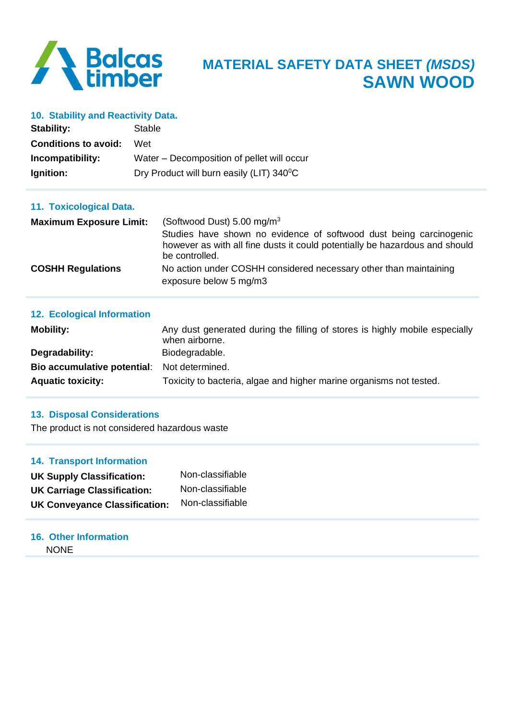

#### **10. Stability and Reactivity Data.**

| Stability:                     | Stable                                                                                                                                                                                               |  |  |  |
|--------------------------------|------------------------------------------------------------------------------------------------------------------------------------------------------------------------------------------------------|--|--|--|
| <b>Conditions to avoid:</b>    | Wet<br>Water – Decomposition of pellet will occur                                                                                                                                                    |  |  |  |
| Incompatibility:               |                                                                                                                                                                                                      |  |  |  |
| Ignition:                      | Dry Product will burn easily (LIT) 340 <sup>°</sup> C                                                                                                                                                |  |  |  |
| 11. Toxicological Data.        |                                                                                                                                                                                                      |  |  |  |
| <b>Maximum Exposure Limit:</b> | (Softwood Dust) 5.00 mg/m $3$<br>Studies have shown no evidence of softwood dust being carcinogenic<br>however as with all fine dusts it could potentially be hazardous and should<br>be controlled. |  |  |  |
| <b>COSHH Regulations</b>       | No action under COSHH considered necessary other than maintaining<br>exposure below 5 mg/m3                                                                                                          |  |  |  |

# **12. Ecological Information Mobility:** Mobility: Any dust generated during the filling of stores is highly mobile especially when airborne. **Degradability:** Biodegradable. **Bio accumulative potential**: Not determined. **Aquatic toxicity:** Toxicity to bacteria, algae and higher marine organisms not tested.

#### **13. Disposal Considerations**

The product is not considered hazardous waste

#### **14. Transport Information**

| <b>UK Supply Classification:</b>     | Non-classifiable |
|--------------------------------------|------------------|
| <b>UK Carriage Classification:</b>   | Non-classifiable |
| <b>UK Conveyance Classification:</b> | Non-classifiable |

### **16. Other Information NONE**